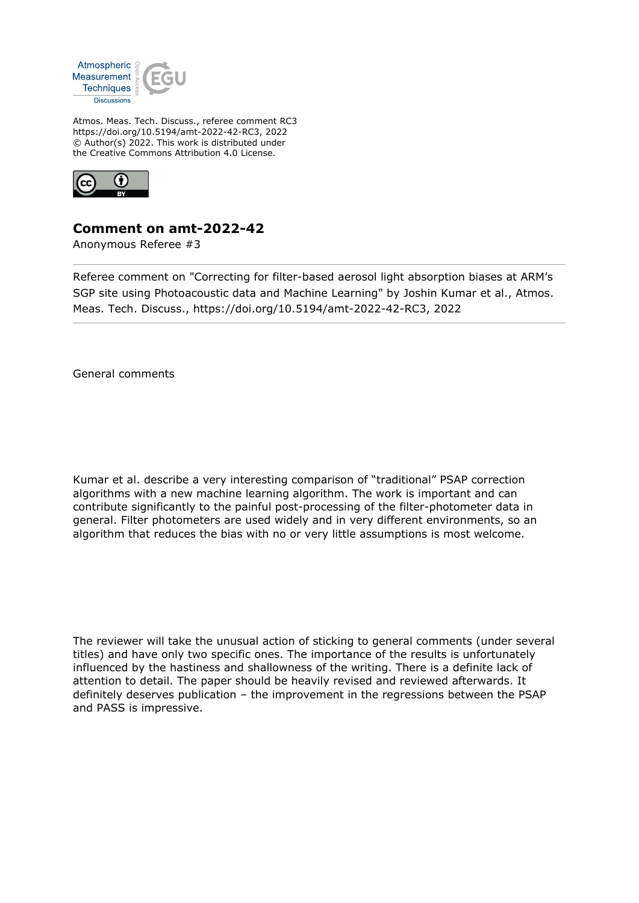

Atmos. Meas. Tech. Discuss., referee comment RC3 https://doi.org/10.5194/amt-2022-42-RC3, 2022 © Author(s) 2022. This work is distributed under the Creative Commons Attribution 4.0 License.



# **Comment on amt-2022-42**

Anonymous Referee #3

Referee comment on "Correcting for filter-based aerosol light absorption biases at ARM's SGP site using Photoacoustic data and Machine Learning" by Joshin Kumar et al., Atmos. Meas. Tech. Discuss., https://doi.org/10.5194/amt-2022-42-RC3, 2022

General comments

Kumar et al. describe a very interesting comparison of "traditional" PSAP correction algorithms with a new machine learning algorithm. The work is important and can contribute significantly to the painful post-processing of the filter-photometer data in general. Filter photometers are used widely and in very different environments, so an algorithm that reduces the bias with no or very little assumptions is most welcome.

The reviewer will take the unusual action of sticking to general comments (under several titles) and have only two specific ones. The importance of the results is unfortunately influenced by the hastiness and shallowness of the writing. There is a definite lack of attention to detail. The paper should be heavily revised and reviewed afterwards. It definitely deserves publication – the improvement in the regressions between the PSAP and PASS is impressive.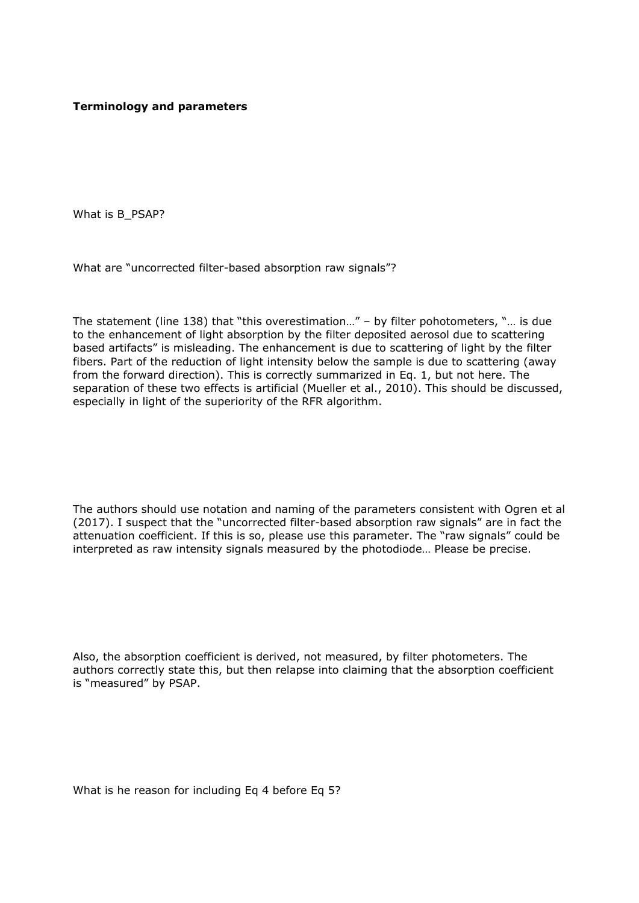## **Terminology and parameters**

What is B\_PSAP?

What are "uncorrected filter-based absorption raw signals"?

The statement (line 138) that "this overestimation…" – by filter pohotometers, "… is due to the enhancement of light absorption by the filter deposited aerosol due to scattering based artifacts" is misleading. The enhancement is due to scattering of light by the filter fibers. Part of the reduction of light intensity below the sample is due to scattering (away from the forward direction). This is correctly summarized in Eq. 1, but not here. The separation of these two effects is artificial (Mueller et al., 2010). This should be discussed, especially in light of the superiority of the RFR algorithm.

The authors should use notation and naming of the parameters consistent with Ogren et al (2017). I suspect that the "uncorrected filter-based absorption raw signals" are in fact the attenuation coefficient. If this is so, please use this parameter. The "raw signals" could be interpreted as raw intensity signals measured by the photodiode… Please be precise.

Also, the absorption coefficient is derived, not measured, by filter photometers. The authors correctly state this, but then relapse into claiming that the absorption coefficient is "measured" by PSAP.

What is he reason for including Eq 4 before Eq 5?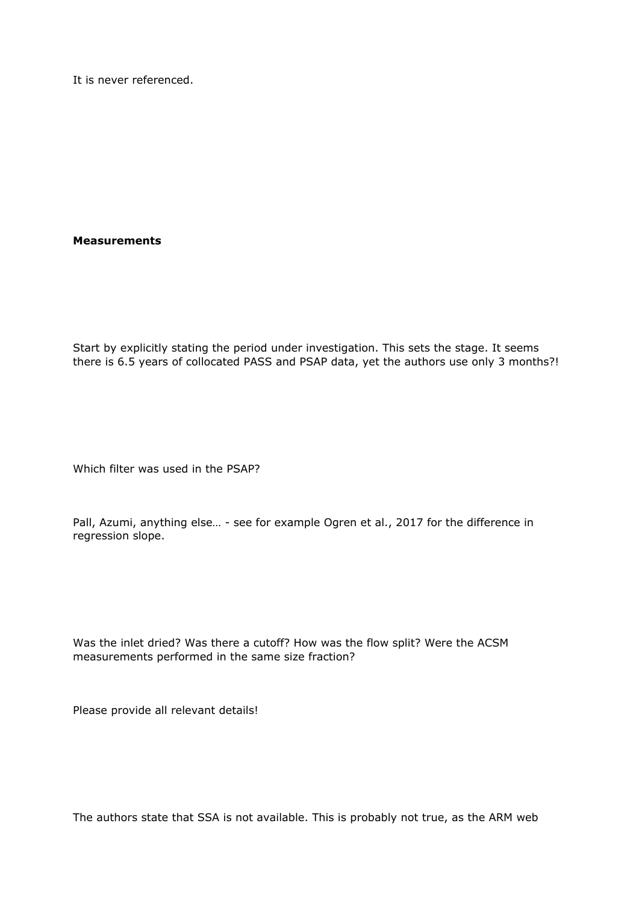It is never referenced.

#### **Measurements**

Start by explicitly stating the period under investigation. This sets the stage. It seems there is 6.5 years of collocated PASS and PSAP data, yet the authors use only 3 months?!

Which filter was used in the PSAP?

Pall, Azumi, anything else... - see for example Ogren et al., 2017 for the difference in regression slope.

Was the inlet dried? Was there a cutoff? How was the flow split? Were the ACSM measurements performed in the same size fraction?

Please provide all relevant details!

The authors state that SSA is not available. This is probably not true, as the ARM web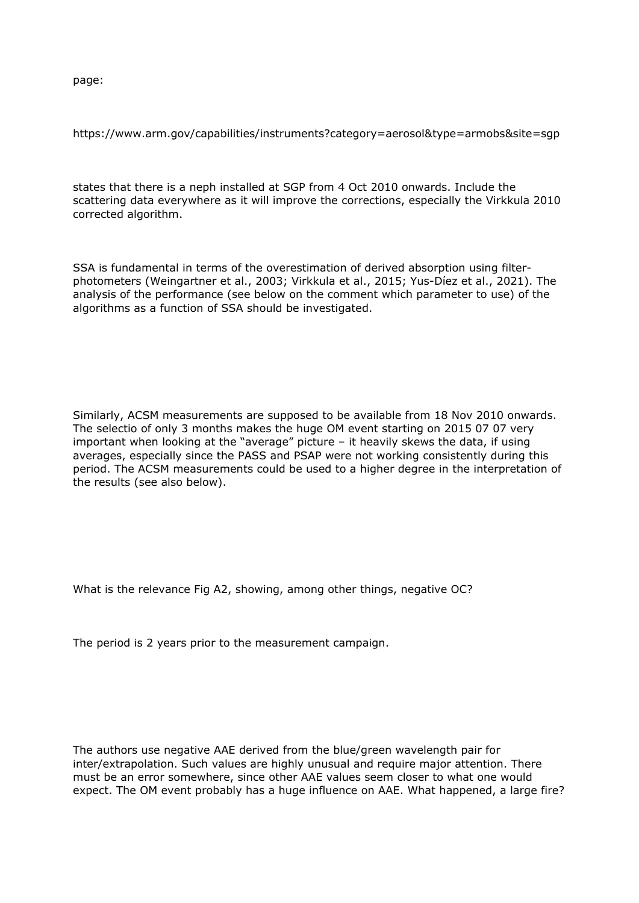page:

https://www.arm.gov/capabilities/instruments?category=aerosol&type=armobs&site=sgp

states that there is a neph installed at SGP from 4 Oct 2010 onwards. Include the scattering data everywhere as it will improve the corrections, especially the Virkkula 2010 corrected algorithm.

SSA is fundamental in terms of the overestimation of derived absorption using filterphotometers (Weingartner et al., 2003; Virkkula et al., 2015; Yus-Díez et al., 2021). The analysis of the performance (see below on the comment which parameter to use) of the algorithms as a function of SSA should be investigated.

Similarly, ACSM measurements are supposed to be available from 18 Nov 2010 onwards. The selectio of only 3 months makes the huge OM event starting on 2015 07 07 very important when looking at the "average" picture – it heavily skews the data, if using averages, especially since the PASS and PSAP were not working consistently during this period. The ACSM measurements could be used to a higher degree in the interpretation of the results (see also below).

What is the relevance Fig A2, showing, among other things, negative OC?

The period is 2 years prior to the measurement campaign.

The authors use negative AAE derived from the blue/green wavelength pair for inter/extrapolation. Such values are highly unusual and require major attention. There must be an error somewhere, since other AAE values seem closer to what one would expect. The OM event probably has a huge influence on AAE. What happened, a large fire?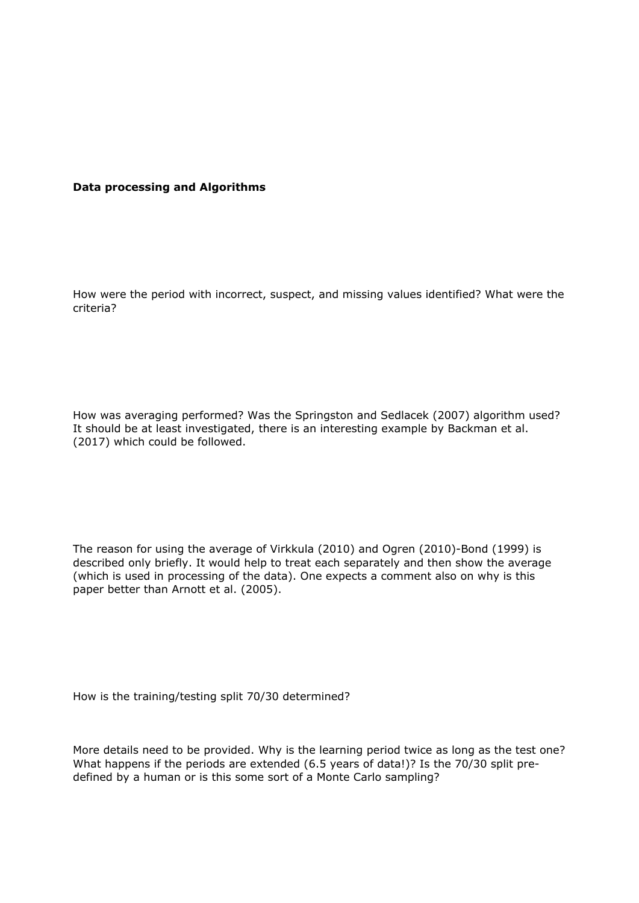#### **Data processing and Algorithms**

How were the period with incorrect, suspect, and missing values identified? What were the criteria?

How was averaging performed? Was the Springston and Sedlacek (2007) algorithm used? It should be at least investigated, there is an interesting example by Backman et al. (2017) which could be followed.

The reason for using the average of Virkkula (2010) and Ogren (2010)-Bond (1999) is described only briefly. It would help to treat each separately and then show the average (which is used in processing of the data). One expects a comment also on why is this paper better than Arnott et al. (2005).

How is the training/testing split 70/30 determined?

More details need to be provided. Why is the learning period twice as long as the test one? What happens if the periods are extended (6.5 years of data!)? Is the 70/30 split predefined by a human or is this some sort of a Monte Carlo sampling?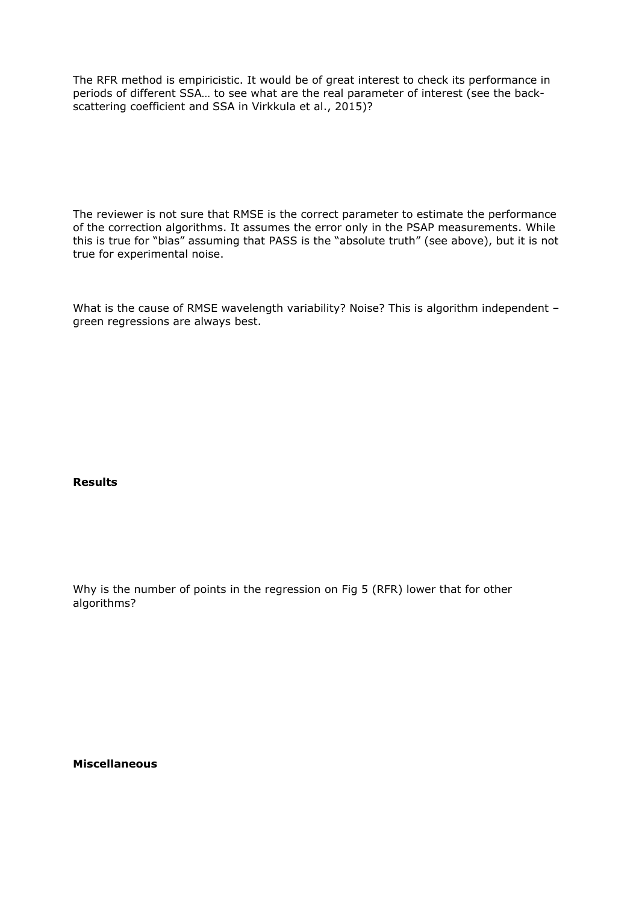The RFR method is empiricistic. It would be of great interest to check its performance in periods of different SSA… to see what are the real parameter of interest (see the backscattering coefficient and SSA in Virkkula et al., 2015)?

The reviewer is not sure that RMSE is the correct parameter to estimate the performance of the correction algorithms. It assumes the error only in the PSAP measurements. While this is true for "bias" assuming that PASS is the "absolute truth" (see above), but it is not true for experimental noise.

What is the cause of RMSE wavelength variability? Noise? This is algorithm independent green regressions are always best.

#### **Results**

Why is the number of points in the regression on Fig 5 (RFR) lower that for other algorithms?

**Miscellaneous**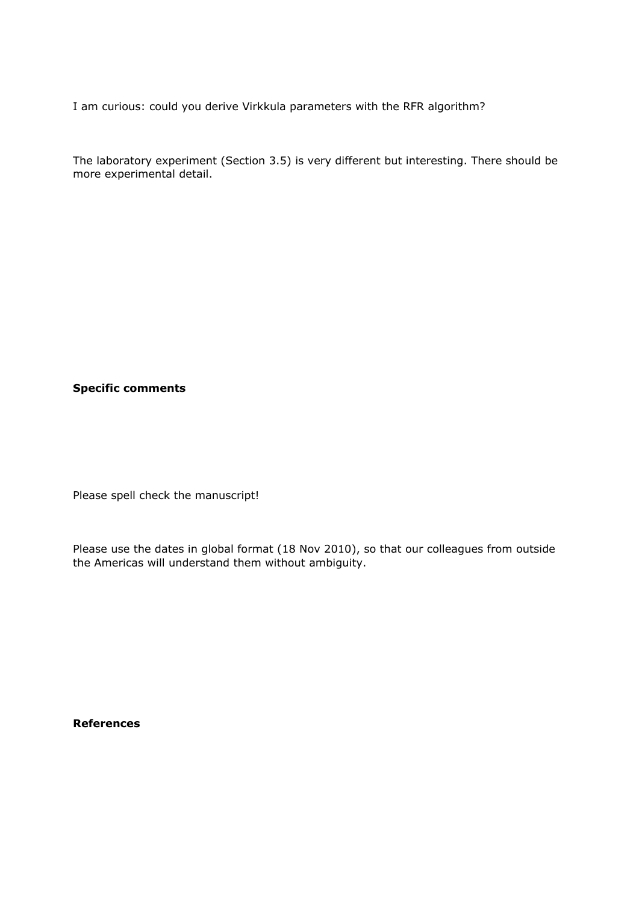I am curious: could you derive Virkkula parameters with the RFR algorithm?

The laboratory experiment (Section 3.5) is very different but interesting. There should be more experimental detail.

### **Specific comments**

Please spell check the manuscript!

Please use the dates in global format (18 Nov 2010), so that our colleagues from outside the Americas will understand them without ambiguity.

**References**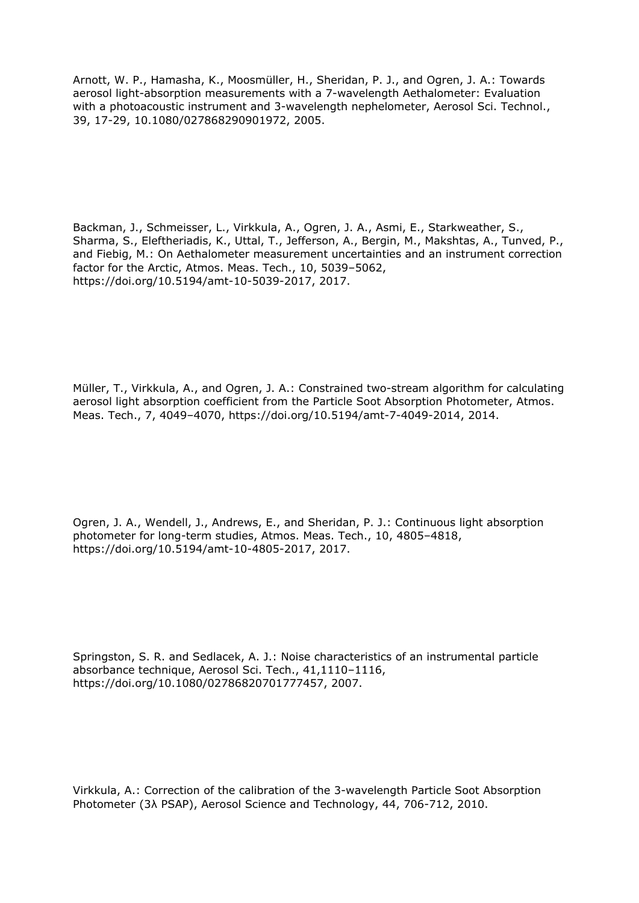Arnott, W. P., Hamasha, K., Moosmüller, H., Sheridan, P. J., and Ogren, J. A.: Towards aerosol light-absorption measurements with a 7-wavelength Aethalometer: Evaluation with a photoacoustic instrument and 3-wavelength nephelometer, Aerosol Sci. Technol., 39, 17-29, 10.1080/027868290901972, 2005.

Backman, J., Schmeisser, L., Virkkula, A., Ogren, J. A., Asmi, E., Starkweather, S., Sharma, S., Eleftheriadis, K., Uttal, T., Jefferson, A., Bergin, M., Makshtas, A., Tunved, P., and Fiebig, M.: On Aethalometer measurement uncertainties and an instrument correction factor for the Arctic, Atmos. Meas. Tech., 10, 5039–5062, https://doi.org/10.5194/amt-10-5039-2017, 2017.

Müller, T., Virkkula, A., and Ogren, J. A.: Constrained two-stream algorithm for calculating aerosol light absorption coefficient from the Particle Soot Absorption Photometer, Atmos. Meas. Tech., 7, 4049–4070, https://doi.org/10.5194/amt-7-4049-2014, 2014.

Ogren, J. A., Wendell, J., Andrews, E., and Sheridan, P. J.: Continuous light absorption photometer for long-term studies, Atmos. Meas. Tech., 10, 4805–4818, https://doi.org/10.5194/amt-10-4805-2017, 2017.

Springston, S. R. and Sedlacek, A. J.: Noise characteristics of an instrumental particle absorbance technique, Aerosol Sci. Tech., 41,1110–1116, https://doi.org/10.1080/02786820701777457, 2007.

Virkkula, A.: Correction of the calibration of the 3-wavelength Particle Soot Absorption Photometer (3λ PSAP), Aerosol Science and Technology, 44, 706-712, 2010.